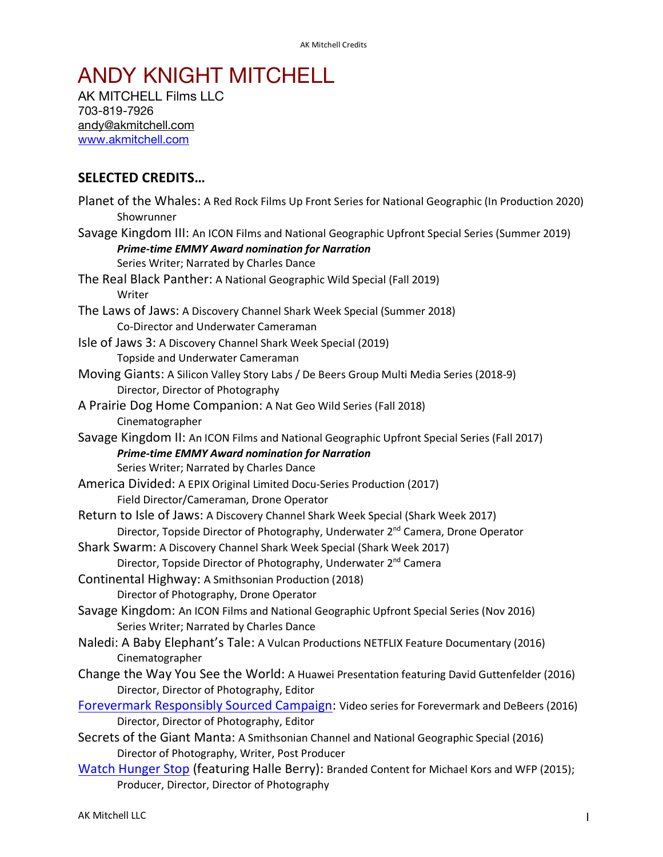## ANDY KNIGHT MITCHELL

AK MITCHELL Films LLC 703-819-7926 andy@akmitchell.com www.akmitchell.com

## **SELECTED CREDITS…**

| Planet of the Whales: A Red Rock Films Up Front Series for National Geographic (In Production 2020)<br>Showrunner                                                                                   |
|-----------------------------------------------------------------------------------------------------------------------------------------------------------------------------------------------------|
| Savage Kingdom III: An ICON Films and National Geographic Upfront Special Series (Summer 2019)<br><b>Prime-time EMMY Award nomination for Narration</b><br>Series Writer; Narrated by Charles Dance |
|                                                                                                                                                                                                     |
| The Real Black Panther: A National Geographic Wild Special (Fall 2019)<br>Writer                                                                                                                    |
| The Laws of Jaws: A Discovery Channel Shark Week Special (Summer 2018)                                                                                                                              |
| Co-Director and Underwater Cameraman                                                                                                                                                                |
| Isle of Jaws 3: A Discovery Channel Shark Week Special (2019)<br>Topside and Underwater Cameraman                                                                                                   |
| Moving Giants: A Silicon Valley Story Labs / De Beers Group Multi Media Series (2018-9)                                                                                                             |
| Director, Director of Photography                                                                                                                                                                   |
| A Prairie Dog Home Companion: A Nat Geo Wild Series (Fall 2018)<br>Cinematographer                                                                                                                  |
| Savage Kingdom II: An ICON Films and National Geographic Upfront Special Series (Fall 2017)                                                                                                         |
| <b>Prime-time EMMY Award nomination for Narration</b>                                                                                                                                               |
| Series Writer; Narrated by Charles Dance                                                                                                                                                            |
| America Divided: A EPIX Original Limited Docu-Series Production (2017)                                                                                                                              |
| Field Director/Cameraman, Drone Operator                                                                                                                                                            |
| Return to Isle of Jaws: A Discovery Channel Shark Week Special (Shark Week 2017)                                                                                                                    |
| Director, Topside Director of Photography, Underwater 2 <sup>nd</sup> Camera, Drone Operator                                                                                                        |
| Shark Swarm: A Discovery Channel Shark Week Special (Shark Week 2017)                                                                                                                               |
| Director, Topside Director of Photography, Underwater 2 <sup>nd</sup> Camera                                                                                                                        |
| Continental Highway: A Smithsonian Production (2018)                                                                                                                                                |
| Director of Photography, Drone Operator                                                                                                                                                             |
| Savage Kingdom: An ICON Films and National Geographic Upfront Special Series (Nov 2016)<br>Series Writer; Narrated by Charles Dance                                                                 |
| Naledi: A Baby Elephant's Tale: A Vulcan Productions NETFLIX Feature Documentary (2016)                                                                                                             |
| Cinematographer                                                                                                                                                                                     |
| Change the Way You See the World: A Huawei Presentation featuring David Guttenfelder (2016)                                                                                                         |
| Director, Director of Photography, Editor                                                                                                                                                           |
| Forevermark Responsibly Sourced Campaign: Video series for Forevermark and DeBeers (2016)                                                                                                           |
| Director, Director of Photography, Editor                                                                                                                                                           |
| Secrets of the Giant Manta: A Smithsonian Channel and National Geographic Special (2016)                                                                                                            |
| Director of Photography, Writer, Post Producer                                                                                                                                                      |
| Watch Hunger Stop (featuring Halle Berry): Branded Content for Michael Kors and WFP (2015);                                                                                                         |
| Producer, Director, Director of Photography                                                                                                                                                         |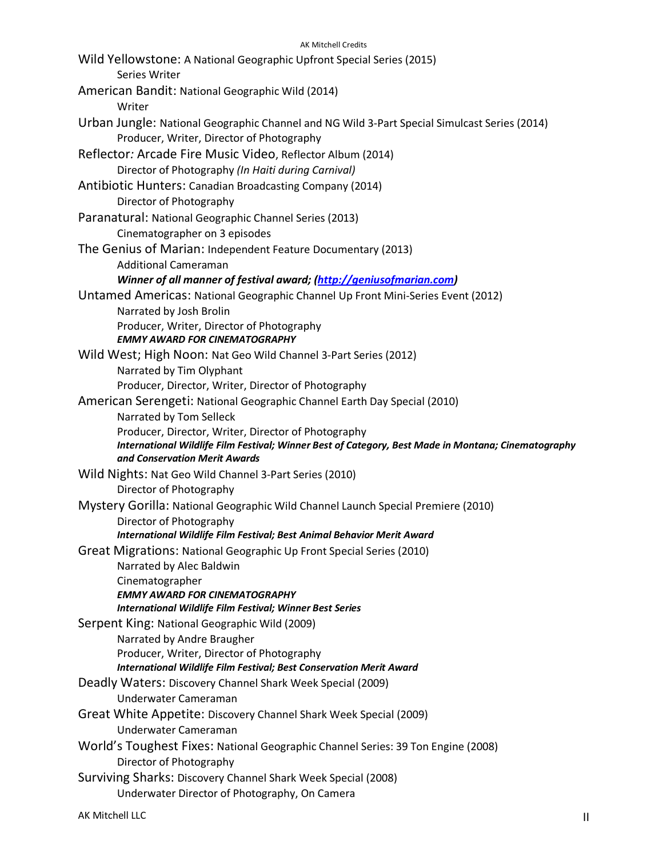| <b>AK Mitchell Credits</b>                                                                                                                                                                  |
|---------------------------------------------------------------------------------------------------------------------------------------------------------------------------------------------|
| Wild Yellowstone: A National Geographic Upfront Special Series (2015)<br>Series Writer                                                                                                      |
| American Bandit: National Geographic Wild (2014)<br>Writer                                                                                                                                  |
| Urban Jungle: National Geographic Channel and NG Wild 3-Part Special Simulcast Series (2014)<br>Producer, Writer, Director of Photography                                                   |
| Reflector: Arcade Fire Music Video, Reflector Album (2014)<br>Director of Photography (In Haiti during Carnival)                                                                            |
| Antibiotic Hunters: Canadian Broadcasting Company (2014)<br>Director of Photography                                                                                                         |
| Paranatural: National Geographic Channel Series (2013)<br>Cinematographer on 3 episodes                                                                                                     |
| The Genius of Marian: Independent Feature Documentary (2013)<br><b>Additional Cameraman</b>                                                                                                 |
| Winner of all manner of festival award; (http://geniusofmarian.com)<br>Untamed Americas: National Geographic Channel Up Front Mini-Series Event (2012)                                      |
| Narrated by Josh Brolin<br>Producer, Writer, Director of Photography<br><b>EMMY AWARD FOR CINEMATOGRAPHY</b>                                                                                |
| Wild West; High Noon: Nat Geo Wild Channel 3-Part Series (2012)<br>Narrated by Tim Olyphant                                                                                                 |
| Producer, Director, Writer, Director of Photography<br>American Serengeti: National Geographic Channel Earth Day Special (2010)<br>Narrated by Tom Selleck                                  |
| Producer, Director, Writer, Director of Photography<br>International Wildlife Film Festival; Winner Best of Category, Best Made in Montana; Cinematography<br>and Conservation Merit Awards |
| Wild Nights: Nat Geo Wild Channel 3-Part Series (2010)<br>Director of Photography                                                                                                           |
| Mystery Gorilla: National Geographic Wild Channel Launch Special Premiere (2010)<br>Director of Photography<br>International Wildlife Film Festival; Best Animal Behavior Merit Award       |
| Great Migrations: National Geographic Up Front Special Series (2010)<br>Narrated by Alec Baldwin<br>Cinematographer                                                                         |
| <b>EMMY AWARD FOR CINEMATOGRAPHY</b><br><b>International Wildlife Film Festival; Winner Best Series</b>                                                                                     |
| Serpent King: National Geographic Wild (2009)<br>Narrated by Andre Braugher<br>Producer, Writer, Director of Photography                                                                    |
| <b>International Wildlife Film Festival; Best Conservation Merit Award</b><br>Deadly Waters: Discovery Channel Shark Week Special (2009)<br>Underwater Cameraman                            |
| Great White Appetite: Discovery Channel Shark Week Special (2009)<br>Underwater Cameraman                                                                                                   |
| World's Toughest Fixes: National Geographic Channel Series: 39 Ton Engine (2008)<br>Director of Photography                                                                                 |
| Surviving Sharks: Discovery Channel Shark Week Special (2008)<br>Underwater Director of Photography, On Camera                                                                              |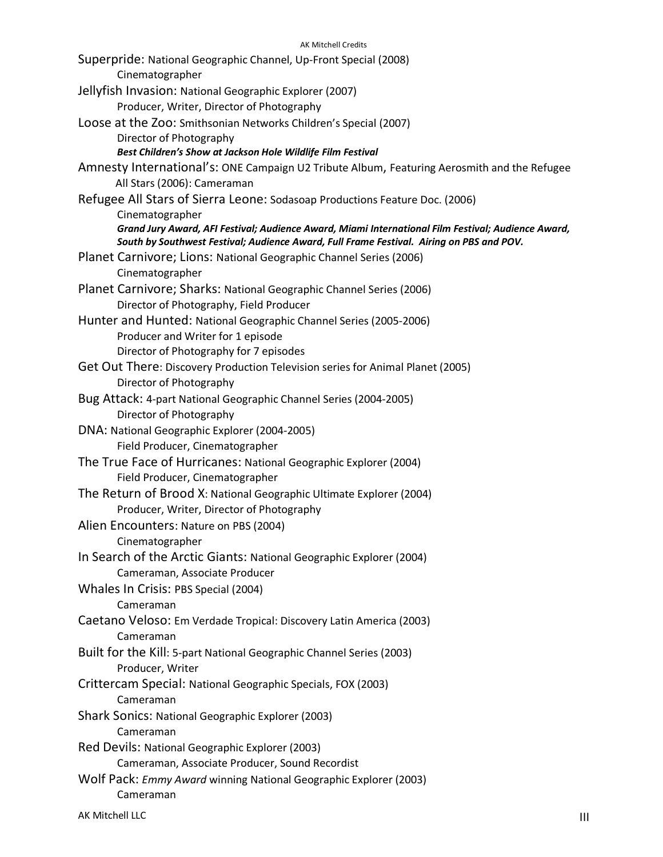## AK Mitchell Credits Superpride: National Geographic Channel, Up-Front Special (2008) Cinematographer Jellyfish Invasion: National Geographic Explorer (2007) Producer, Writer, Director of Photography Loose at the Zoo: Smithsonian Networks Children's Special (2007) Director of Photography *Best Children's Show at Jackson Hole Wildlife Film Festival* Amnesty International's: ONE Campaign U2 Tribute Album, Featuring Aerosmith and the Refugee All Stars (2006): Cameraman Refugee All Stars of Sierra Leone: Sodasoap Productions Feature Doc. (2006) Cinematographer *Grand Jury Award, AFI Festival; Audience Award, Miami International Film Festival; Audience Award, South by Southwest Festival; Audience Award, Full Frame Festival. Airing on PBS and POV.* Planet Carnivore; Lions: National Geographic Channel Series (2006) Cinematographer Planet Carnivore; Sharks: National Geographic Channel Series (2006) Director of Photography, Field Producer Hunter and Hunted: National Geographic Channel Series (2005-2006) Producer and Writer for 1 episode Director of Photography for 7 episodes Get Out There: Discovery Production Television series for Animal Planet (2005) Director of Photography Bug Attack: 4-part National Geographic Channel Series (2004-2005) Director of Photography DNA: National Geographic Explorer (2004-2005) Field Producer, Cinematographer The True Face of Hurricanes: National Geographic Explorer (2004) Field Producer, Cinematographer The Return of Brood X: National Geographic Ultimate Explorer (2004) Producer, Writer, Director of Photography Alien Encounters: Nature on PBS (2004) Cinematographer In Search of the Arctic Giants: National Geographic Explorer (2004) Cameraman, Associate Producer Whales In Crisis: PBS Special (2004) Cameraman Caetano Veloso: Em Verdade Tropical: Discovery Latin America (2003) Cameraman Built for the Kill: 5-part National Geographic Channel Series (2003) Producer, Writer Crittercam Special: National Geographic Specials, FOX (2003) Cameraman Shark Sonics: National Geographic Explorer (2003) Cameraman Red Devils: National Geographic Explorer (2003) Cameraman, Associate Producer, Sound Recordist Wolf Pack: *Emmy Award* winning National Geographic Explorer (2003) Cameraman